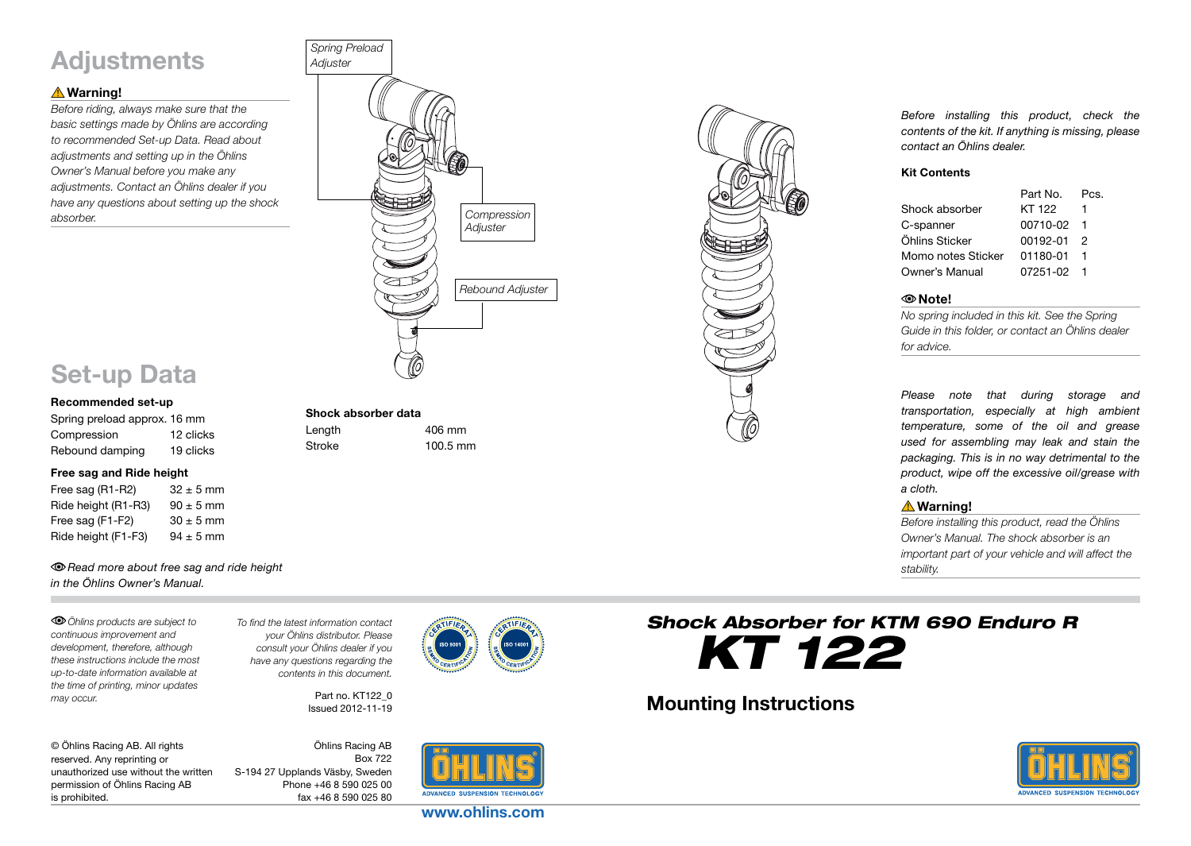# **Adjustments**

# **△Warning!**

*Before riding, always make sure that the basic settings made by Öhlins are according to recommended Set-up Data. Read about adjustments and setting up in the Öhlins Owner's Manual before you make any adjustments. Contact an Öhlins dealer if you have any questions about setting up the shock absorber.*



# Set-up Data

#### Recommended set-up

Spring preload approx. 16 mm Compression 12 clicks Rebound damping 19 clicks

#### Free sag and Ride height

Free sag  $(R1-R2)$  32  $\pm$  5 mm Ride height  $(R1-R3)$  90  $\pm$  5 mm Free sag (F1-F2)  $30 \pm 5$  mm Ride height (F1-F3)  $94 \pm 5$  mm

### *Read more about free sag and ride height in the Öhlins Owner's Manual.*

*Öhlins products are subject to continuous improvement and development, therefore, although these instructions include the most up-to-date information available at the time of printing, minor updates may occur.* 

*To find the latest information contact your Öhlins distributor. Please consult your Öhlins dealer if you have any questions regarding the contents in this document.*

> Part no. KT122\_0 Issued 2012-11-19

Shock absorber data

Length 406 mm Stroke 100.5 mm

| © Öhlins Racing AB. All rights       |
|--------------------------------------|
| reserved. Any reprinting or          |
| unauthorized use without the written |
| permission of Öhlins Racing AB       |
| is prohibited.                       |

Öhlins Racing AB Box 722 S-194 27 Upplands Väsby, Sweden Phone +46 8 590 025 00 fax +46 8 590 025 80





*Before installing this product, check the contents of the kit. If anything is missing, please contact an Öhlins dealer.*

#### Kit Contents

|                    | Part No. | Pcs. |
|--------------------|----------|------|
| Shock absorber     | KT 122   |      |
| C-spanner          | 00710-02 |      |
| Öhlins Sticker     | 00192-01 | 2    |
| Momo notes Sticker | 01180-01 |      |
| Owner's Manual     | 07251-02 |      |

#### Note!

*No spring included in this kit. See the Spring Guide in this folder, or contact an Öhlins dealer for advice.*

*Please note that during storage and transportation, especially at high ambient temperature, some of the oil and grease used for assembling may leak and stain the packaging. This is in no way detrimental to the product, wipe off the excessive oil/grease with a cloth.*

# Warning!

*Before installing this product, read the Öhlins Owner's Manual. The shock absorber is an important part of your vehicle and will affect the stability.*



# Mounting Instructions



www.ohlins.com